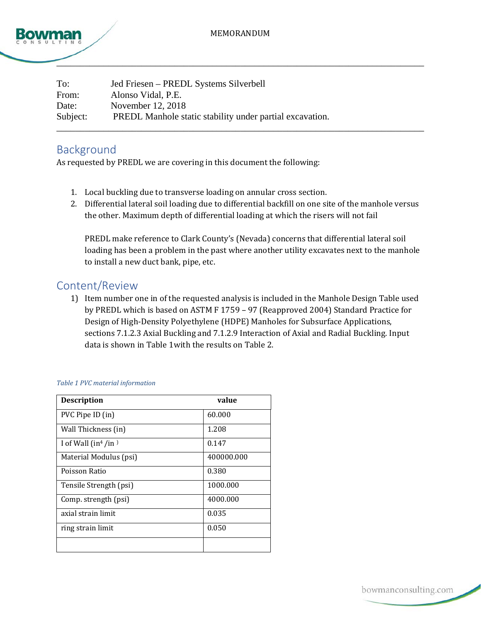



| To:      | Jed Friesen – PREDL Systems Silverbell                   |
|----------|----------------------------------------------------------|
| From:    | Alonso Vidal, P.E.                                       |
| Date:    | November 12, 2018                                        |
| Subject: | PREDL Manhole static stability under partial excavation. |
|          |                                                          |

## Background

As requested by PREDL we are covering in this document the following:

- 1. Local buckling due to transverse loading on annular cross section.
- 2. Differential lateral soil loading due to differential backfill on one site of the manhole versus the other. Maximum depth of differential loading at which the risers will not fail

PREDL make reference to Clark County's (Nevada) concerns that differential lateral soil loading has been a problem in the past where another utility excavates next to the manhole to install a new duct bank, pipe, etc.

## Content/Review

1) Item number one in of the requested analysis is included in the Manhole Design Table used by PREDL which is based on ASTM F 1759 – 97 (Reapproved 2004) Standard Practice for Design of High-Density Polyethylene (HDPE) Manholes for Subsurface Applications, sections 7.1.2.3 Axial Buckling and 7.1.2.9 Interaction of Axial and Radial Buckling. Input data is shown i[n Table 1w](#page-0-0)ith the results o[n Table 2.](#page-1-0)

| <b>Description</b>      | value      |
|-------------------------|------------|
| PVC Pipe ID (in)        | 60.000     |
| Wall Thickness (in)     | 1.208      |
| I of Wall $(in^4/in^3)$ | 0.147      |
| Material Modulus (psi)  | 400000.000 |
| Poisson Ratio           | 0.380      |
| Tensile Strength (psi)  | 1000.000   |
| Comp. strength (psi)    | 4000.000   |
| axial strain limit      | 0.035      |
| ring strain limit       | 0.050      |
|                         |            |

<span id="page-0-0"></span>*Table 1 PVC material information*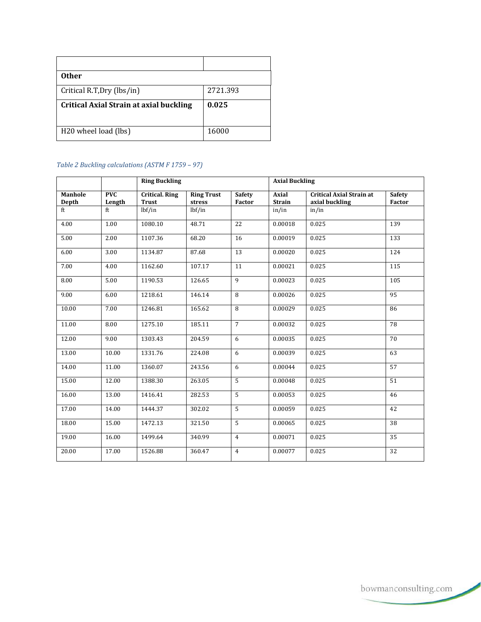| <b>Other</b>                                   |          |
|------------------------------------------------|----------|
| Critical R.T, Dry (lbs/in)                     | 2721.393 |
| <b>Critical Axial Strain at axial buckling</b> | 0.025    |
|                                                |          |
| H <sub>20</sub> wheel load (lbs)               | 16000    |

## <span id="page-1-0"></span>*Table 2 Buckling calculations (ASTM F 1759 – 97)*

|                         |                      | <b>Ring Buckling</b>                  |                             |                                | <b>Axial Buckling</b>         |                                                   |                         |
|-------------------------|----------------------|---------------------------------------|-----------------------------|--------------------------------|-------------------------------|---------------------------------------------------|-------------------------|
| <b>Manhole</b><br>Depth | <b>PVC</b><br>Length | <b>Critical. Ring</b><br><b>Trust</b> | <b>Ring Trust</b><br>stress | <b>Safety</b><br><b>Factor</b> | <b>Axial</b><br><b>Strain</b> | <b>Critical Axial Strain at</b><br>axial buckling | <b>Safety</b><br>Factor |
| ft                      | ft                   | lbf/in                                | lbf/in                      |                                | in/in                         | in/in                                             |                         |
| 4.00                    | 1.00                 | 1080.10                               | 48.71                       | 22                             | 0.00018                       | 0.025                                             | 139                     |
| 5.00                    | 2.00                 | 1107.36                               | 68.20                       | 16                             | 0.00019                       | 0.025                                             | 133                     |
| 6.00                    | 3.00                 | 1134.87                               | 87.68                       | 13                             | 0.00020                       | 0.025                                             | 124                     |
| 7.00                    | 4.00                 | 1162.60                               | 107.17                      | 11                             | 0.00021                       | 0.025                                             | 115                     |
| 8.00                    | 5.00                 | 1190.53                               | 126.65                      | $\mathbf{q}$                   | 0.00023                       | 0.025                                             | 105                     |
| 9.00                    | 6.00                 | 1218.61                               | 146.14                      | 8                              | 0.00026                       | 0.025                                             | 95                      |
| 10.00                   | 7.00                 | 1246.81                               | 165.62                      | 8                              | 0.00029                       | 0.025                                             | 86                      |
| 11.00                   | 8.00                 | 1275.10                               | 185.11                      | $\overline{7}$                 | 0.00032                       | 0.025                                             | 78                      |
| 12.00                   | 9.00                 | 1303.43                               | 204.59                      | 6                              | 0.00035                       | 0.025                                             | 70                      |
| 13.00                   | 10.00                | 1331.76                               | 224.08                      | 6                              | 0.00039                       | 0.025                                             | 63                      |
| 14.00                   | 11.00                | 1360.07                               | 243.56                      | 6                              | 0.00044                       | 0.025                                             | 57                      |
| 15.00                   | 12.00                | 1388.30                               | 263.05                      | 5                              | 0.00048                       | 0.025                                             | 51                      |
| 16.00                   | 13.00                | 1416.41                               | 282.53                      | 5                              | 0.00053                       | 0.025                                             | 46                      |
| 17.00                   | 14.00                | 1444.37                               | 302.02                      | 5                              | 0.00059                       | 0.025                                             | 42                      |
| 18.00                   | 15.00                | 1472.13                               | 321.50                      | 5                              | 0.00065                       | 0.025                                             | 38                      |
| 19.00                   | 16.00                | 1499.64                               | 340.99                      | $\overline{4}$                 | 0.00071                       | 0.025                                             | 35                      |
| 20.00                   | 17.00                | 1526.88                               | 360.47                      | $\overline{4}$                 | 0.00077                       | 0.025                                             | 32                      |

bowmanconsulting.com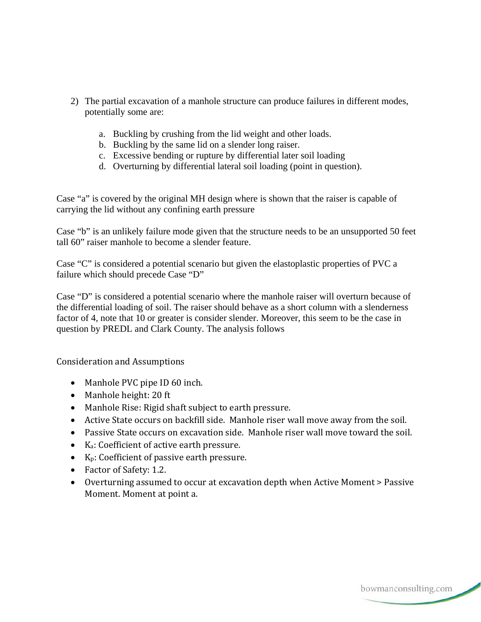- 2) The partial excavation of a manhole structure can produce failures in different modes, potentially some are:
	- a. Buckling by crushing from the lid weight and other loads.
	- b. Buckling by the same lid on a slender long raiser.
	- c. Excessive bending or rupture by differential later soil loading
	- d. Overturning by differential lateral soil loading (point in question).

Case "a" is covered by the original MH design where is shown that the raiser is capable of carrying the lid without any confining earth pressure

Case "b" is an unlikely failure mode given that the structure needs to be an unsupported 50 feet tall 60" raiser manhole to become a slender feature.

Case "C" is considered a potential scenario but given the elastoplastic properties of PVC a failure which should precede Case "D"

Case "D" is considered a potential scenario where the manhole raiser will overturn because of the differential loading of soil. The raiser should behave as a short column with a slenderness factor of 4, note that 10 or greater is consider slender. Moreover, this seem to be the case in question by PREDL and Clark County. The analysis follows

Consideration and Assumptions

- Manhole PVC pipe ID 60 inch.
- Manhole height: 20 ft
- Manhole Rise: Rigid shaft subject to earth pressure.
- Active State occurs on backfill side. Manhole riser wall move away from the soil.
- Passive State occurs on excavation side. Manhole riser wall move toward the soil.
- Ka: Coefficient of active earth pressure.
- Kp: Coefficient of passive earth pressure.
- Factor of Safety: 1.2.
- Overturning assumed to occur at excavation depth when Active Moment > Passive Moment. Moment at point a.

bowmanconsulting.com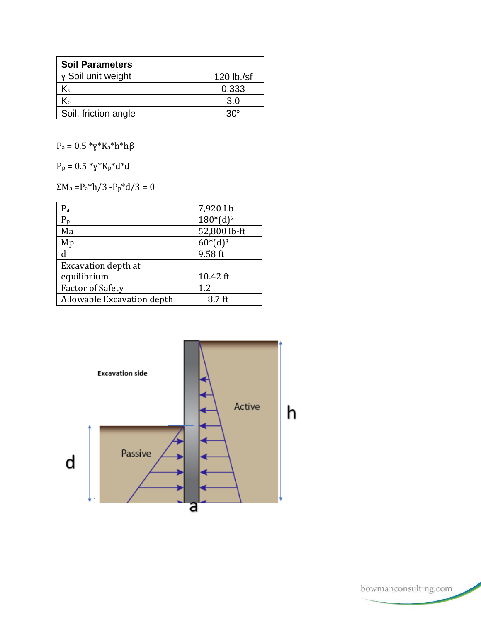| <b>Soil Parameters</b> |            |  |  |  |
|------------------------|------------|--|--|--|
| y Soil unit weight     | 120 lb./sf |  |  |  |
| Νа                     | 0.333      |  |  |  |
| N۵                     | 3.0        |  |  |  |
| Soil. friction angle   | ദ്ധം       |  |  |  |

 $\rm P_a = 0.5$   $\rm ^*y*K_a* h* h\beta$ 

 $P_p = 0.5 \times y^*K_p^*d^*d$ 

 $\Sigma\mathrm{M}_\mathrm{a}\!=\!\mathrm{P}_\mathrm{a}{}^*\mathrm{h}/3$ -Pp<br/>\*d/3 = 0

| $P_{\rm a}$                | 7,920 Lb     |
|----------------------------|--------------|
| $P_p$                      | $180*(d)^2$  |
| Ma                         | 52,800 lb-ft |
| Mp                         | $60*(d)3$    |
|                            | 9.58 ft      |
| <b>Excavation depth at</b> |              |
| equilibrium                | 10.42 ft     |
| <b>Factor of Safety</b>    | 1.2          |
| Allowable Excavation depth | 8.7 ft       |



 $\,$  bowman<br>consulting.com